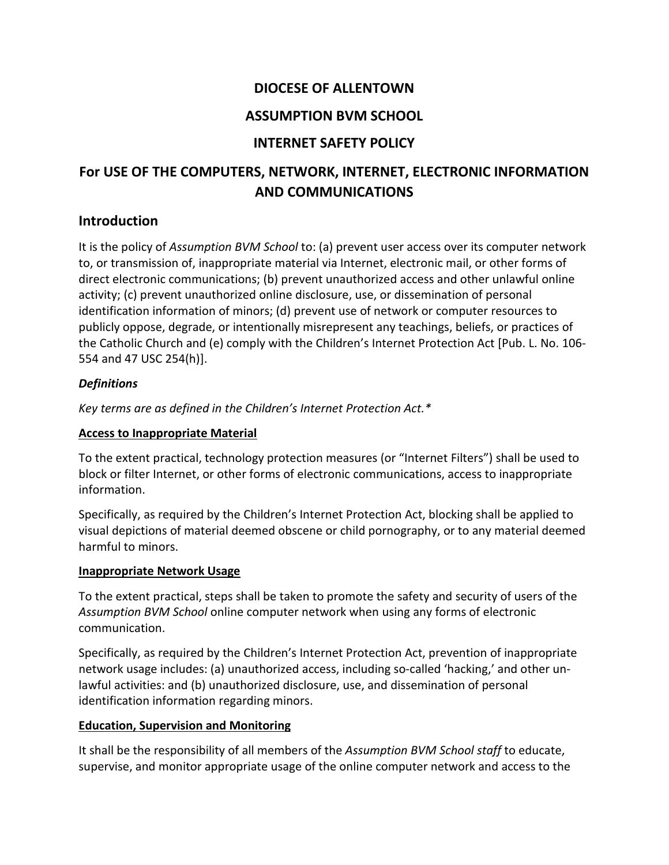## **DIOCESE OF ALLENTOWN**

## **ASSUMPTION BVM SCHOOL**

## **INTERNET SAFETY POLICY**

# **For USE OF THE COMPUTERS, NETWORK, INTERNET, ELECTRONIC INFORMATION AND COMMUNICATIONS**

## **Introduction**

It is the policy of *Assumption BVM School* to: (a) prevent user access over its computer network to, or transmission of, inappropriate material via Internet, electronic mail, or other forms of direct electronic communications; (b) prevent unauthorized access and other unlawful online activity; (c) prevent unauthorized online disclosure, use, or dissemination of personal identification information of minors; (d) prevent use of network or computer resources to publicly oppose, degrade, or intentionally misrepresent any teachings, beliefs, or practices of the Catholic Church and (e) comply with the Children's Internet Protection Act [Pub. L. No. 106- 554 and 47 USC 254(h)].

## *Definitions*

*Key terms are as defined in the Children's Internet Protection Act.\**

## **Access to Inappropriate Material**

To the extent practical, technology protection measures (or "Internet Filters") shall be used to block or filter Internet, or other forms of electronic communications, access to inappropriate information.

Specifically, as required by the Children's Internet Protection Act, blocking shall be applied to visual depictions of material deemed obscene or child pornography, or to any material deemed harmful to minors.

## **Inappropriate Network Usage**

To the extent practical, steps shall be taken to promote the safety and security of users of the *Assumption BVM School* online computer network when using any forms of electronic communication.

Specifically, as required by the Children's Internet Protection Act, prevention of inappropriate network usage includes: (a) unauthorized access, including so-called 'hacking,' and other unlawful activities: and (b) unauthorized disclosure, use, and dissemination of personal identification information regarding minors.

## **Education, Supervision and Monitoring**

It shall be the responsibility of all members of the *Assumption BVM School staff* to educate, supervise, and monitor appropriate usage of the online computer network and access to the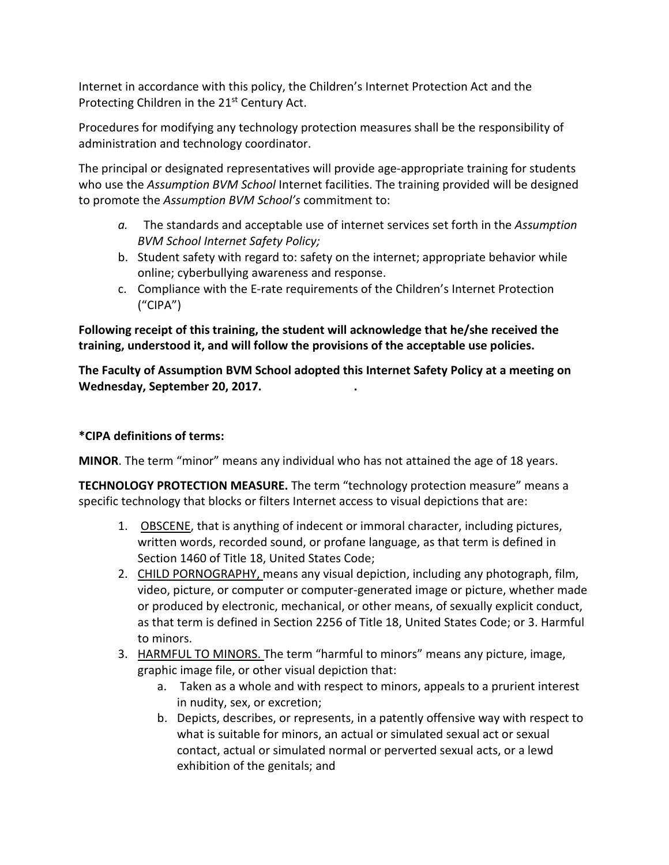Internet in accordance with this policy, the Children's Internet Protection Act and the Protecting Children in the 21<sup>st</sup> Century Act.

Procedures for modifying any technology protection measures shall be the responsibility of administration and technology coordinator.

The principal or designated representatives will provide age-appropriate training for students who use the *Assumption BVM School* Internet facilities. The training provided will be designed to promote the *Assumption BVM School's* commitment to:

- *a.* The standards and acceptable use of internet services set forth in the *Assumption BVM School Internet Safety Policy;*
- b. Student safety with regard to: safety on the internet; appropriate behavior while online; cyberbullying awareness and response.
- c. Compliance with the E-rate requirements of the Children's Internet Protection ("CIPA")

**Following receipt of this training, the student will acknowledge that he/she received the training, understood it, and will follow the provisions of the acceptable use policies.**

**The Faculty of Assumption BVM School adopted this Internet Safety Policy at a meeting on Wednesday, September 20, 2017. .**

## **\*CIPA definitions of terms:**

**MINOR**. The term "minor" means any individual who has not attained the age of 18 years.

**TECHNOLOGY PROTECTION MEASURE.** The term "technology protection measure" means a specific technology that blocks or filters Internet access to visual depictions that are:

- 1. OBSCENE, that is anything of indecent or immoral character, including pictures, written words, recorded sound, or profane language, as that term is defined in Section 1460 of Title 18, United States Code;
- 2. CHILD PORNOGRAPHY, means any visual depiction, including any photograph, film, video, picture, or computer or computer-generated image or picture, whether made or produced by electronic, mechanical, or other means, of sexually explicit conduct, as that term is defined in Section 2256 of Title 18, United States Code; or 3. Harmful to minors.
- 3. HARMFUL TO MINORS. The term "harmful to minors" means any picture, image, graphic image file, or other visual depiction that:
	- a. Taken as a whole and with respect to minors, appeals to a prurient interest in nudity, sex, or excretion;
	- b. Depicts, describes, or represents, in a patently offensive way with respect to what is suitable for minors, an actual or simulated sexual act or sexual contact, actual or simulated normal or perverted sexual acts, or a lewd exhibition of the genitals; and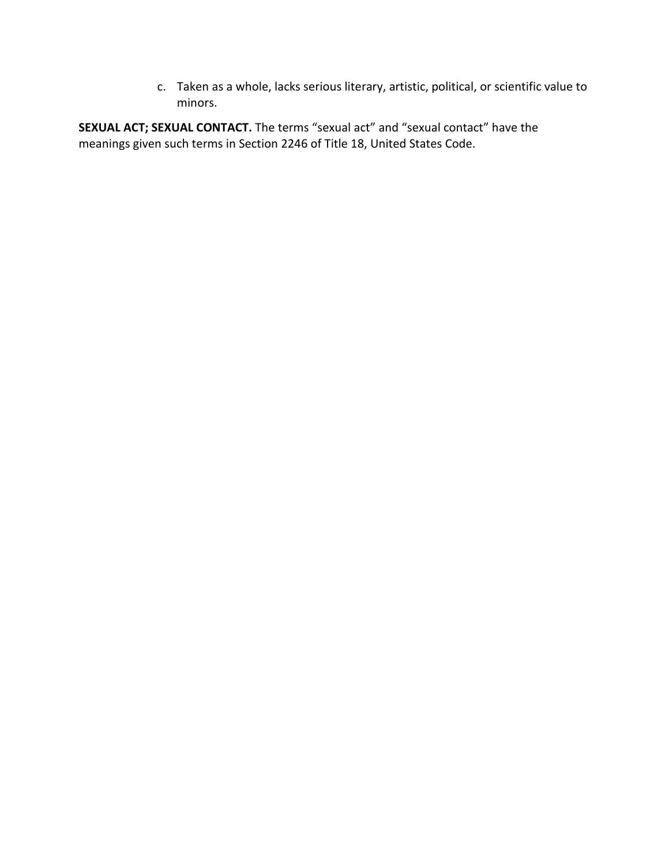c. Taken as a whole, lacks serious literary, artistic, political, or scientific value to minors.

**SEXUAL ACT; SEXUAL CONTACT.** The terms "sexual act" and "sexual contact" have the meanings given such terms in Section 2246 of Title 18, United States Code.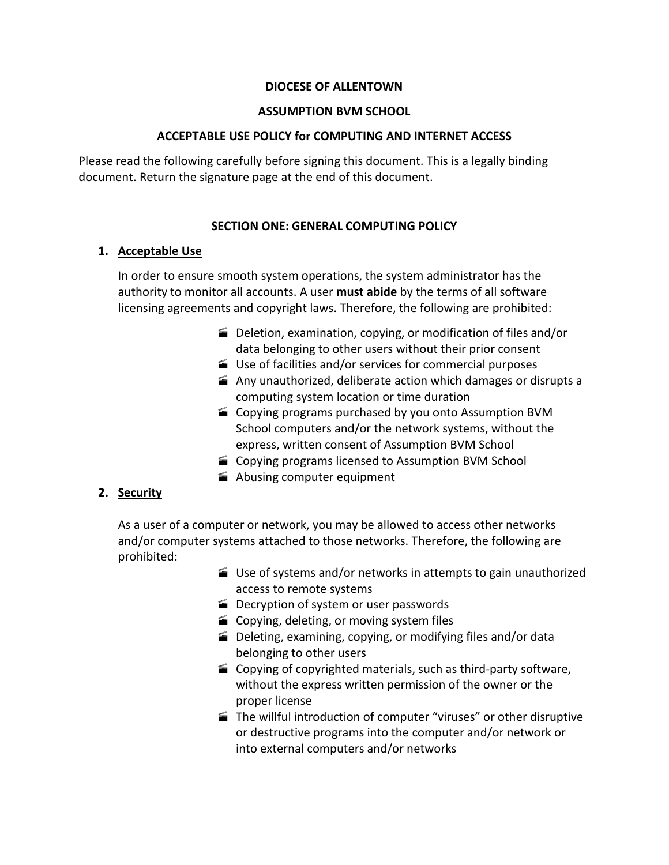#### **DIOCESE OF ALLENTOWN**

#### **ASSUMPTION BVM SCHOOL**

#### **ACCEPTABLE USE POLICY for COMPUTING AND INTERNET ACCESS**

Please read the following carefully before signing this document. This is a legally binding document. Return the signature page at the end of this document.

#### **SECTION ONE: GENERAL COMPUTING POLICY**

#### **1. Acceptable Use**

In order to ensure smooth system operations, the system administrator has the authority to monitor all accounts. A user **must abide** by the terms of all software licensing agreements and copyright laws. Therefore, the following are prohibited:

- Deletion, examination, copying, or modification of files and/or data belonging to other users without their prior consent
- Use of facilities and/or services for commercial purposes
- $\triangleq$  Any unauthorized, deliberate action which damages or disrupts a computing system location or time duration
- Copying programs purchased by you onto Assumption BVM School computers and/or the network systems, without the express, written consent of Assumption BVM School
- Copying programs licensed to Assumption BVM School
- Abusing computer equipment

#### **2. Security**

As a user of a computer or network, you may be allowed to access other networks and/or computer systems attached to those networks. Therefore, the following are prohibited:

- Use of systems and/or networks in attempts to gain unauthorized access to remote systems
- Decryption of system or user passwords
- Copying, deleting, or moving system files
- Deleting, examining, copying, or modifying files and/or data belonging to other users
- Copying of copyrighted materials, such as third-party software, without the express written permission of the owner or the proper license
- The willful introduction of computer "viruses" or other disruptive or destructive programs into the computer and/or network or into external computers and/or networks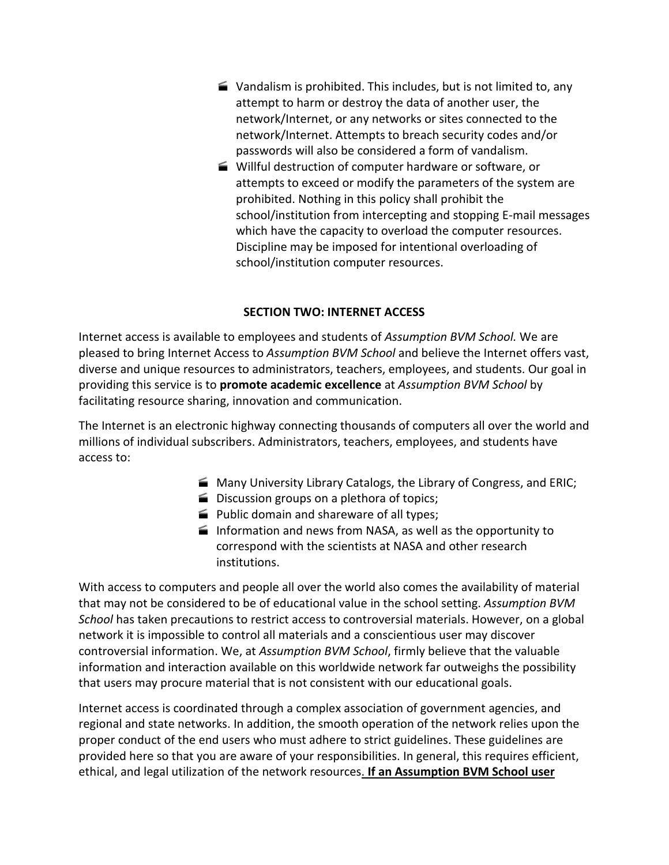- $\blacktriangleright$  Vandalism is prohibited. This includes, but is not limited to, any attempt to harm or destroy the data of another user, the network/Internet, or any networks or sites connected to the network/Internet. Attempts to breach security codes and/or passwords will also be considered a form of vandalism.
- Willful destruction of computer hardware or software, or attempts to exceed or modify the parameters of the system are prohibited. Nothing in this policy shall prohibit the school/institution from intercepting and stopping E-mail messages which have the capacity to overload the computer resources. Discipline may be imposed for intentional overloading of school/institution computer resources.

#### **SECTION TWO: INTERNET ACCESS**

Internet access is available to employees and students of *Assumption BVM School.* We are pleased to bring Internet Access to *Assumption BVM School* and believe the Internet offers vast, diverse and unique resources to administrators, teachers, employees, and students. Our goal in providing this service is to **promote academic excellence** at *Assumption BVM School* by facilitating resource sharing, innovation and communication.

The Internet is an electronic highway connecting thousands of computers all over the world and millions of individual subscribers. Administrators, teachers, employees, and students have access to:

- **Many University Library Catalogs, the Library of Congress, and ERIC;**
- Discussion groups on a plethora of topics;
- **Public domain and shareware of all types;**
- Information and news from NASA, as well as the opportunity to correspond with the scientists at NASA and other research institutions.

With access to computers and people all over the world also comes the availability of material that may not be considered to be of educational value in the school setting. *Assumption BVM School* has taken precautions to restrict access to controversial materials. However, on a global network it is impossible to control all materials and a conscientious user may discover controversial information. We, at *Assumption BVM School*, firmly believe that the valuable information and interaction available on this worldwide network far outweighs the possibility that users may procure material that is not consistent with our educational goals.

Internet access is coordinated through a complex association of government agencies, and regional and state networks. In addition, the smooth operation of the network relies upon the proper conduct of the end users who must adhere to strict guidelines. These guidelines are provided here so that you are aware of your responsibilities. In general, this requires efficient, ethical, and legal utilization of the network resources. **If an Assumption BVM School user**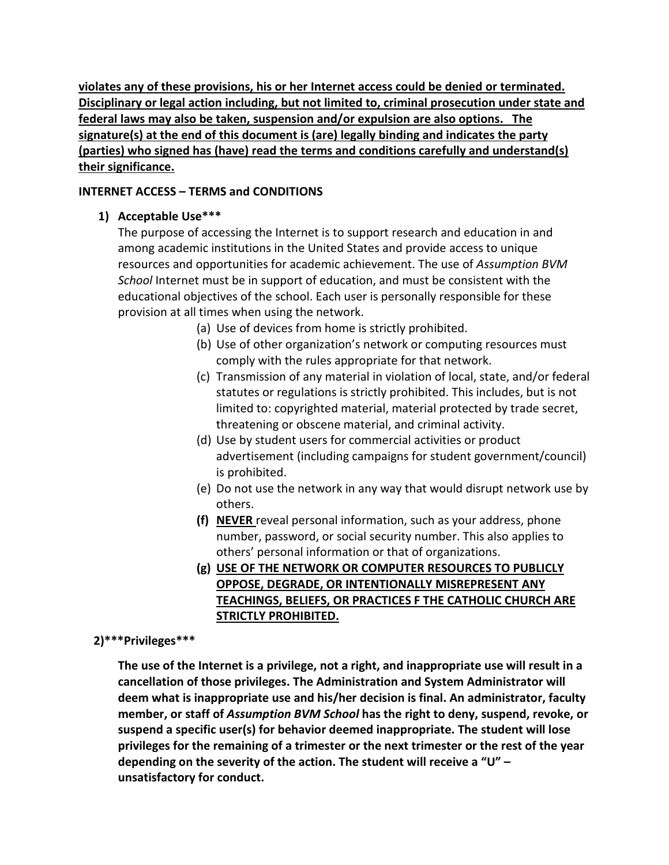**violates any of these provisions, his or her Internet access could be denied or terminated. Disciplinary or legal action including, but not limited to, criminal prosecution under state and federal laws may also be taken, suspension and/or expulsion are also options. The signature(s) at the end of this document is (are) legally binding and indicates the party (parties) who signed has (have) read the terms and conditions carefully and understand(s) their significance.**

## **INTERNET ACCESS – TERMS and CONDITIONS**

## **1) Acceptable Use\*\*\***

The purpose of accessing the Internet is to support research and education in and among academic institutions in the United States and provide access to unique resources and opportunities for academic achievement. The use of *Assumption BVM School* Internet must be in support of education, and must be consistent with the educational objectives of the school. Each user is personally responsible for these provision at all times when using the network.

- (a) Use of devices from home is strictly prohibited.
- (b) Use of other organization's network or computing resources must comply with the rules appropriate for that network.
- (c) Transmission of any material in violation of local, state, and/or federal statutes or regulations is strictly prohibited. This includes, but is not limited to: copyrighted material, material protected by trade secret, threatening or obscene material, and criminal activity.
- (d) Use by student users for commercial activities or product advertisement (including campaigns for student government/council) is prohibited.
- (e) Do not use the network in any way that would disrupt network use by others.
- **(f) NEVER** reveal personal information, such as your address, phone number, password, or social security number. This also applies to others' personal information or that of organizations.
- **(g) USE OF THE NETWORK OR COMPUTER RESOURCES TO PUBLICLY OPPOSE, DEGRADE, OR INTENTIONALLY MISREPRESENT ANY TEACHINGS, BELIEFS, OR PRACTICES F THE CATHOLIC CHURCH ARE STRICTLY PROHIBITED.**

## **2)\*\*\*Privileges\*\*\***

**The use of the Internet is a privilege, not a right, and inappropriate use will result in a cancellation of those privileges. The Administration and System Administrator will deem what is inappropriate use and his/her decision is final. An administrator, faculty member, or staff of** *Assumption BVM School* **has the right to deny, suspend, revoke, or suspend a specific user(s) for behavior deemed inappropriate. The student will lose privileges for the remaining of a trimester or the next trimester or the rest of the year depending on the severity of the action. The student will receive a "U" – unsatisfactory for conduct.**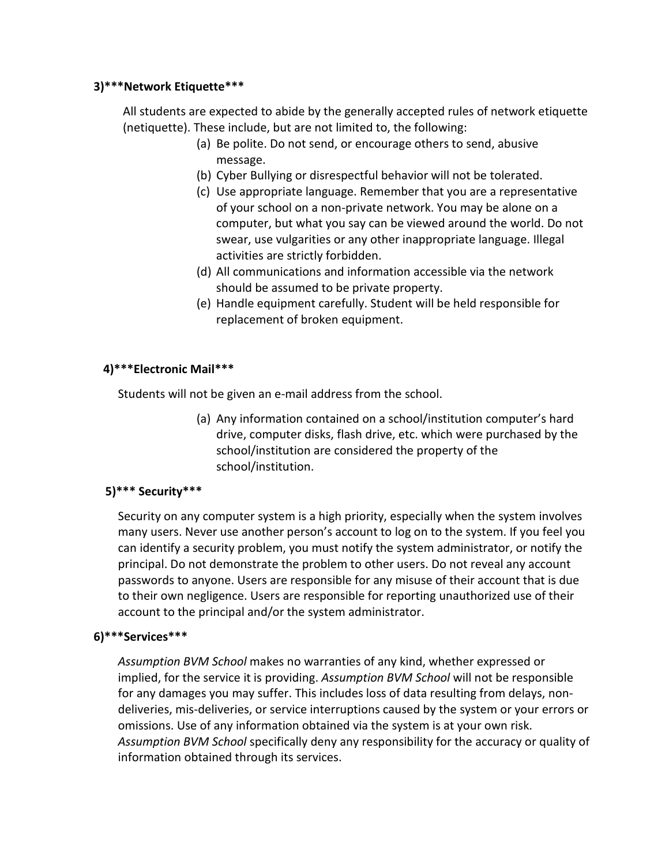#### **3)\*\*\*Network Etiquette\*\*\***

All students are expected to abide by the generally accepted rules of network etiquette (netiquette). These include, but are not limited to, the following:

- (a) Be polite. Do not send, or encourage others to send, abusive message.
- (b) Cyber Bullying or disrespectful behavior will not be tolerated.
- (c) Use appropriate language. Remember that you are a representative of your school on a non-private network. You may be alone on a computer, but what you say can be viewed around the world. Do not swear, use vulgarities or any other inappropriate language. Illegal activities are strictly forbidden.
- (d) All communications and information accessible via the network should be assumed to be private property.
- (e) Handle equipment carefully. Student will be held responsible for replacement of broken equipment.

## **4)\*\*\*Electronic Mail\*\*\***

Students will not be given an e-mail address from the school.

(a) Any information contained on a school/institution computer's hard drive, computer disks, flash drive, etc. which were purchased by the school/institution are considered the property of the school/institution.

## **5)\*\*\* Security\*\*\***

Security on any computer system is a high priority, especially when the system involves many users. Never use another person's account to log on to the system. If you feel you can identify a security problem, you must notify the system administrator, or notify the principal. Do not demonstrate the problem to other users. Do not reveal any account passwords to anyone. Users are responsible for any misuse of their account that is due to their own negligence. Users are responsible for reporting unauthorized use of their account to the principal and/or the system administrator.

## **6)\*\*\*Services\*\*\***

*Assumption BVM School* makes no warranties of any kind, whether expressed or implied, for the service it is providing. *Assumption BVM School* will not be responsible for any damages you may suffer. This includes loss of data resulting from delays, nondeliveries, mis-deliveries, or service interruptions caused by the system or your errors or omissions. Use of any information obtained via the system is at your own risk. *Assumption BVM School* specifically deny any responsibility for the accuracy or quality of information obtained through its services.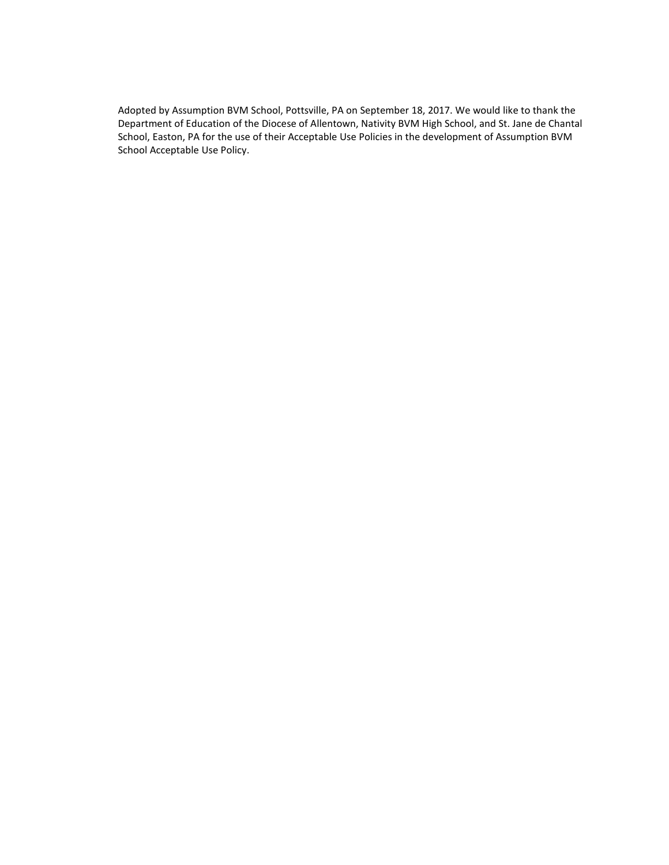Adopted by Assumption BVM School, Pottsville, PA on September 18, 2017. We would like to thank the Department of Education of the Diocese of Allentown, Nativity BVM High School, and St. Jane de Chantal School, Easton, PA for the use of their Acceptable Use Policies in the development of Assumption BVM School Acceptable Use Policy.